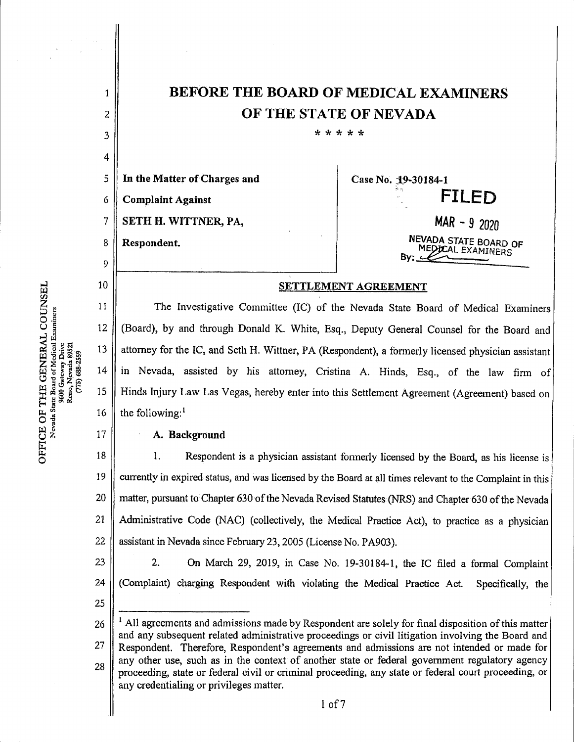|    | <b>BEFORE THE BOARD OF MEDICAL EXAMINERS</b>                                            |                                            |
|----|-----------------------------------------------------------------------------------------|--------------------------------------------|
| 2  | OF THE STATE OF NEVADA                                                                  |                                            |
| 3  | * * * * *                                                                               |                                            |
| 4  |                                                                                         |                                            |
| 5  | In the Matter of Charges and                                                            | Case No. 19-30184-1                        |
| 6  | <b>Complaint Against</b>                                                                | <b>FILED</b>                               |
|    | SETH H. WITTNER, PA,                                                                    | $MAR - 92020$                              |
| 8  | Respondent.                                                                             | NEVADA STATE BOARD OF<br>MEDICAL EXAMINERS |
| 9  |                                                                                         | Bv:                                        |
| 10 | <b>SETTLEMENT AGREEMENT</b>                                                             |                                            |
| 11 | The Investigative Committee (IC) of the Nevada State Board of Medical Examiners         |                                            |
| 12 | (Board), by and through Donald K. White, Esq., Deputy General Counsel for the Board and |                                            |
|    |                                                                                         |                                            |

attorney for the IC, and Seth H. Wittner, PA (Respondent), a formerly licensed physician assistant in Nevada, assisted by his attorney, Cristina A. Hinds, Esq., of the law firm of Hinds Injury Law Las Vegas, hereby enter into this Settlement Agreement (Agreement) based on the following:' 13 14 15 16

## A. Background

1. Respondent is a physician assistant formerly licensed by the Board, as his license is currently in expired status, and was licensed by the Board at all times relevant to the Complaint in this matter, pursuant to Chapter 630 of the Nevada Revised Statutes (NRS) and Chapter 630 of the Nevada Administrative Code (NAC) (collectively, the Medical Practice Act), to practice as a physician assistant in Nevada since February 23, 2005 (License No. PA903). 18 19 20 21 22

2. On March 29, 2019, in Case No. 19-30184-1, the IC filed a formal Complaint aint) charging Respondent with violating the Medical Practice Act. Specifically, the (Complaint) charging Respondent with violating the Medical Practice Act. 23 24 25

 $<sup>1</sup>$  All agreements and admissions made by Respondent are solely for final disposition of this matter</sup> and any subsequent related administrative proceedings or civil litigation involving the Board and Respondent. Therefore, Respondent's agreements and admissions are not intended or made for any other use, such as in the context of another state or federal government regulatory agency proceeding, state or federal civil or criminal proceeding, any state or federal court proceeding, or any credentialing or privileges matter. 26 27 28

|<br>|<br>|<br>|<br>|<br>| **អ៊ី** ផ្ទះនី ៖ HE GE<br>e Board of<br>600 Gatew<br>keno, Nevi<br>(775) 68 E OF THE<br>levada State Bos Nevada State Board of Medical Examiners TCE<br>Neva w CO

E o

17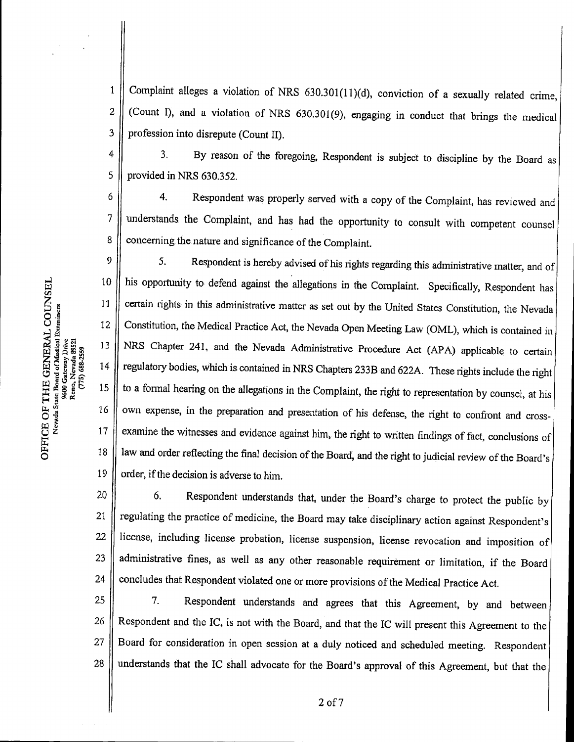Complaint alleges a violation of NRS  $630.301(11)(d)$ , conviction of a sexually related crime,  $\mathbf{1}$ (Count I), and a violation of NRS 630.301(9), engaging in conduct that brings the medical  $\overline{2}$ 3 profession into disrepute (Count II).

3. By reason of the foregoing, Respondent is subject to discipline by the Board as  $\overline{4}$ provided in NRS 630.352. 5

4. Respondent was properly served with a copy of the Complaint, has reviewed and 6 understands the Complaint, and has had the opportunity to consult with competent counsel  $\overline{7}$ 8 concerning the nature and significance of the Complaint.

 $\boldsymbol{9}$ 5. Respondent is hereby advised of his rights regarding this administrative matter, and of his opportunity to defend against the allegations in the Complaint. Specifically, Respondent has 10 certain rights in this administrative matter as set out by the United States Constitution, the Nevada 11 Constitution, the Medical Practice Act, the Nevada Open MeetingLaw (OML), which is contained in 12 NRS Chapter 241, and the Nevada Administrative Procedure Act (APA) applicable to certain 13 regulatory bodies, which is contained in NRS Chapters 233B and 622A. These rights include the right 14 to a formal hearing on the allegations in the Complaint, the right to representation by counsel, at his 15 own expense, in the preparation and presentation of his defense, the right to confront and cross-16 examine the witnesses and evidence against him, the right to written findings of fact, conclusions of 17 law and order reflecting the final decision of the Board, and the right to judicial review of the Board's 18 19 order, if the decision is adverse to him.

6.Respondent understands that, under the Board's charge to protect the public by regulating the practice of medicine, the Board may take disciplinary action against Respondent's license, including license probation, license suspension, license revocation and imposition of administrative fines, as well as any other reasonable requirement or limitation, if the Board concludes that Respondent violated one or more provisions of the Medical Practice Act. 22 23 24 21 20

7.Respondent understands and agrees that this Agreement, by and between Respondent and the IC, is not with the Board, and that the IC will present this Agreement to the Board for consideration in open session at a duly noticed and scheduled meeting. Respondent 28 | understands that the IC shall advocate for the Board's approval of this Agreement, but that the 25 26 27

Reno, Nevada 8952;<br>(775) 688-2559 2 E OF<br>evada St ម<br>ខ្ន .8 3 COU<br>amines w /3

H, Ph O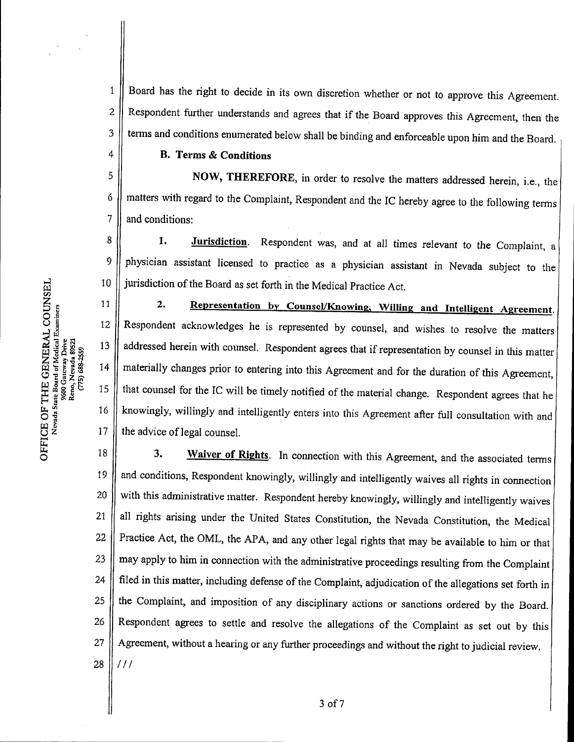Board has the right to decide in its own discretion whether or not to approve this Agreement. Respondent further understands and agrees that if the Board approves this Agreement, then the terms and conditions enumerated below shall be binding and enforceable upon him and the Board. 1 2 3

## B. Terms & Conditions

NOW, THEREFORE, in order to resolve the matters addressed herein, i.e., the matters with regard to the Complaint, Respondent and the IC hereby agree to the following terms and conditions: 5 6 7

1. Jurisdiction. Respondent was, and at all times relevant to the Complaint, a physician assistant licensed to practice as a physician assistant in Nevada subject to the jurisdiction of the Board as set forth in the Medical Practice Act. 8 9 10

2. Representation by Counsel/Knowing, Willing and Intelligent Agreement. 11 Respondent acknowledges he is represented by counsel, and wishes to resolve the matters 12 L <sup>13</sup> addressed herein with counsel. Respondent agrees that if representation by counsel in this matter materially changes prior to entering into this Agreement and for the duration of this Agreement, 14 that counsel for the IC will be timely notified of the material change. Respondent agrees that he knowingly, willingly and intelligently enters into this Agreement afterfull consultation with and 16 17 the advice of legal counsel.

3. Waiver of Rights. In connection with this Agreement, and the associated terms 18 and conditions, Respondent knowingly, willingly and intelligently waives all rights in connection 19 with this administrative matter. Respondent hereby knowingly, willingly and intelligently waives 20 all rights arising under the United States Constitution, the Nevada Constitution, the Medical 21 Practice Act, the OML, the APA, and any other legal rights that may be available to him or that 22 may apply to him in connection with the administrative proceedings resulting from the Complaint 23 24 filed in this matter, including defense of the Complaint, adjudication of the allegations set forth in the Complaint, and imposition of any disciplinary actions orsanctions ordered by the Board. 25 Respondent agrees to settle and resolve the allegations of the Complaint as set out by this 26 Agreement, without a hearing or any further proceedings and without the right to judicial review. 27 28  $111$ 

 $\overline{\sigma}$ 

4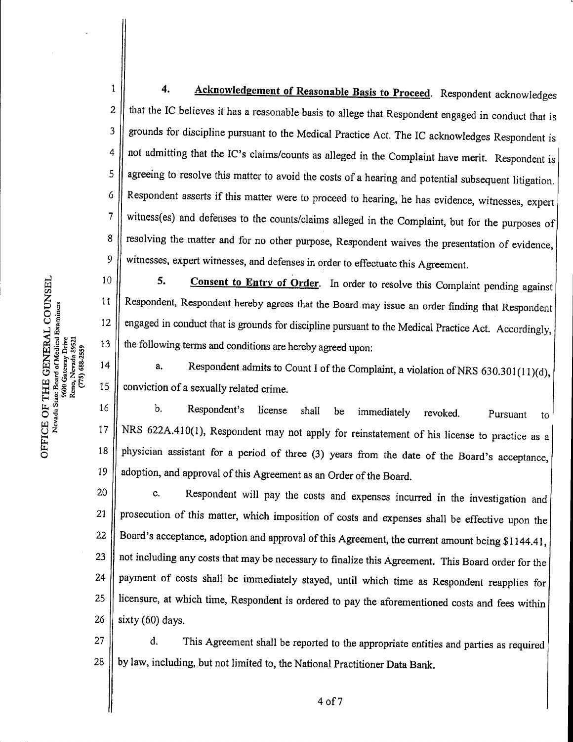4. Acknowledgement of Reasonable Basis to Proceed. Respondent acknowledges that the IC believes it has a reasonable basis to allege that Respondent engaged in conduct that is grounds for discipline pursuant to the Medical Practice Act. The IC acknowledges Respondent is not admitting that the IC's claims/counts as alleged in the Complaint have merit. Respondent is agreeing to resolve this matter to avoid the costs of a hearing and potential subsequent litigation. Respondent asserts if this matter were to proceed to hearing, he has evidence, witnesses, expert witness(es) and defenses to the counts/claims alleged in the Complaint, but for the purposes of resolving the matter and for no other purpose, Respondent waives the presentation of evidence, witnesses, expert witnesses, and defenses in order to effectuate this Agreement. 1 2 3 4 5 6 7 8 9

5. Consent to Entry of Order. In order to resolve this Complaint pending against Respondent, Respondent hereby agrees that the Board may issue an order finding that Respondent engaged in conduct that is grounds for discipline pursuant to the Medical Practice Act. Accordingly, the following terms and conditions are hereby agreed upon: a. Respondent admits to Count I of the Complaint, a violation of NRS 630.301 (11)(d), 10 11 12 13

conviction of a sexually related crime. a. Respondent admits to Count I of the Complaint, a violation of NRS 630.301(11)(d).<br>ion of a sexually related crime.<br>b. Respondent's license shall be immediately revoked. Pursuant to 14 15

NRS 622A.410(1), Respondent may not apply for reinstatement of his license to practice as a physician assistant for a period of three (3) years from the date of the Board's acceptance, adoption, and approval of this Agreement as an Order of the Board. 16 17 18 19

c.Respondent will pay the costs and expenses incurred in the investigation and prosecution of this matter, which imposition of costs and expenses shall be effective upon the Board's acceptance, adoption and approval of this Agreement, the current amount being \$1144.41, not including any costs that may be necessary to finalize this Agreement. This Board order for the payment of costs shall be immediately stayed, until which time as Respondent reapplies for licensure, at which time, Respondent is ordered to pay the aforementioned costs and fees within sixty (60) days. 20 21 22 23 24 25 26

d. This Agreement shall be reported to the appropriate entities and parties as required by law, including, but not limited to, the National Practitioner Data Bank. 27 28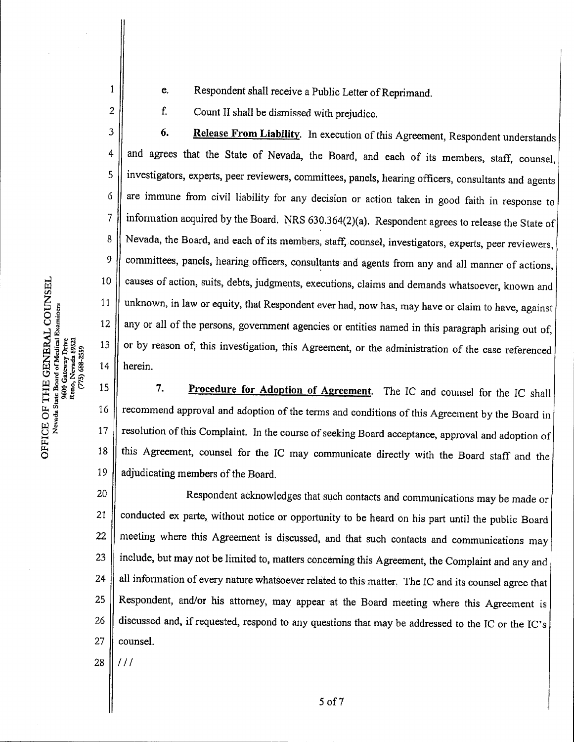- e. Respondent shall receive a Public Letter of Reprimand.
- e. Respondent shall receive a Public Letter of<br>f. Count II shall be dismissed with prejudice.

6. Respondent shall receive a Public Letter of Reprimand.<br>
5. Count II shall be dismissed with prejudice.<br>
6. Release From Liability. In execution of this Agreement, Respondent understands 3 and agrees that the State of Nevada, the Board, and each of its members, staff, counsel,  $\overline{\mathbf{4}}$ 5 investigators, experts, peer reviewers, committees, panels, hearing officers, consultants and agents are immune from civil liability for any decision or action taken in good faith in response to 6 information acquired by the Board. NRS 630.364(2)(a). Respondent agrees to release the State of 7 Nevada, the Board, and each of its members, staff, counsel, investigators, experts, peer reviewers, 8 committees, panels, hearing officers, consultants and agents from any and all manner of actions, 9 causes of action, suits, debts, judgments, executions, claims and demands whatsoever, known and 10 unknown, in law or equity, that Respondent ever had, now has, may have or claim to have, against 11 any or all of the persons, government agencies or entities named in this paragraph arising out of, 12 or by reason of, this investigation, this Agreement, or the administration of the case referenced 13 14 herein.

7. Procedure for Adoption of Agreement. The IC and counsel for the IC shall recommend approval and adoption of the terms and conditions of this Agreement by the Board in resolution of this Complaint. In the course of seeking Board acceptance, approval and adoption of this Agreement, counsel for the IC may communicate directly with the Board staff and the adjudicating members of the Board. 19 18 17 16 15

Respondent acknowledges that such contacts and communications may be made or conducted ex parte, without notice or opportunity to be heard on his part until the public Board meeting where this Agreement is discussed, and that such contacts and communications may include, but may not be limited to, matters concerning this Agreement, the Complaint and any and all information of every nature whatsoever related to this matter. The IC and its counsel agree that Respondent, and/or his attorney, may appear at the Board meeting where this Agreement is discussed and, if requested, respond to any questions that may be addressed to the IC or the IC's counsel. 27 26 25 24 23 20 21 22

o

1

2

28  $111$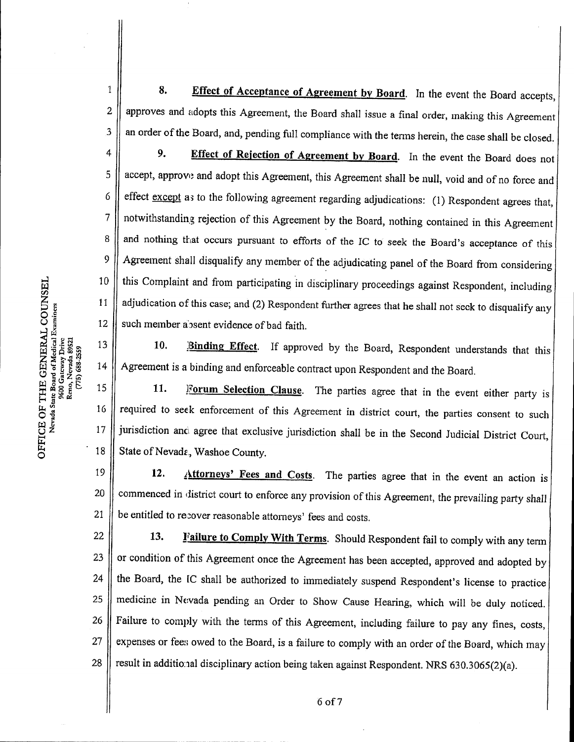8. Effect of Acceptance of Agreement by Board. In the event the Board accepts, approves and adopts this Agreement, the Board shall issue a final order, making this Agreement an order of the Board, and, pending full compliance with the terms herein, the case shall be closed. Es and adopts this Agreement, the Board shall issue a final order, making this Agreement<br>of the Board, and, pending full compliance with the terms herein, the case shall be closed.<br>9. Effect of Rejection of Agreement by Bo 1 2 3

accept, approve and adopt this Agreement, this Agreement shall be null, void and of no force and effect except as to the following agreement regarding adjudications:  $(1)$  Respondent agrees that, notwithstanding rejection of this Agreement by the Board, nothing contained in this Agreement and nothing that occurs pursuant to efforts of the IC to seek the Board's acceptance of this Agreement shall disqualify any member of the adjudicating panel of the Board from considering this Complaint and from participating in disciplinary proceedings against Respondent, including adjudication of this case; and (2) Respondent further agrees that he shall not seck to disqualify any such member absent evidence of bad faith. 4 5 6 7 8 9 10 11 12

10. **Binding Effect**. If approved by the Board, Respondent understands that this Agreement is a binding and enforceable contract upon Respondent and the Board. 13 14

11. Forum Selection Clause. The parties agree that in the event either party is required to seek enforcement of this Agreement in district court, the parties consent to such jurisdiction anci agree that exclusive jurisdiction shall be in the Second Judicial District Court, State of Nevada, Washoe County. 15 16 17 18

12. Attorneys' Fees and Costs. The parties agree that in the event an action is commenced in district court to enforce any provision of this Agreement, the prevailing party shall be entitled to recover reasonable attorneys' fees and costs. 19 20 21

13. Failure to Comply With Terms. Should Respondent fail to comply with any term or condition of this Agreement once the Agreement has been accepted, approved and adopted by the Board, the IC shall be authorized to immediately suspend Respondent's license to practice medicine in Nevada pending an Order to Show Cause Hearing, which will be duly noticed. Failure to comply with the terms of this Agreement, including failure to pay any fines, costs, expenses or fees owed to the Board, is a failure to comply with an order of the Board, which may result in additional disciplinary action being taken against Respondent. NRS 630.3065(2)(a). 22 23 24 25 26 27 28

o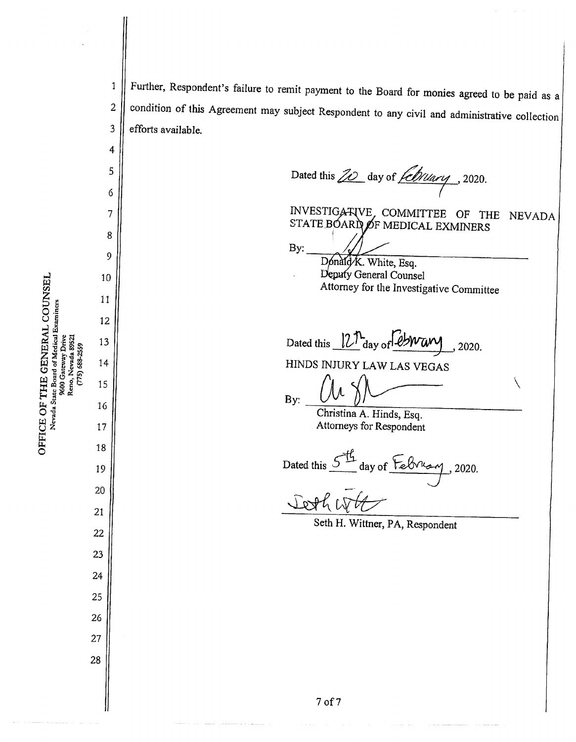E OF<br>evada S **ICE C**<br>Nevad

ሠ<br>ഗ

4

5

6

7

8

9

Further, Respondent's failure to remit payment to the Board for monies agreed to be paid as a condition of this Agreement may subject Respondent to any civil and administrative collection efforts available. 1 2 3

Dated this  $Z\!\!\!\!\!\!D$  day of  $\sqrt{\frac{CDu_{\alpha\alpha}}{2}}$ , 2020.

INVESTIGATIVE, COMMITTEE OF THE NEVADA  $\begin{subarray}{c} \text{STATE } \text{B} \text{O} \text{AR} \text{D} \text{O} \text{F} \text{ MEDICAL EXAMPLERS} \end{subarray}$ 

 $\setminus$ 

By:

Donald/K. White, Esq. Deputy General Counsel Attorney for the Investigative Committee

Dated this  $12<sup>n</sup>$  day of  $Bwaw$ , 2020.

HINDS INJURY LAWLAS VEGAS

By:

Christina A. Hinds, Esq. Attorneys for Respondent

Dated this  $54$  day of February, 2020.

Seth H. Wittner, PA, Respondent